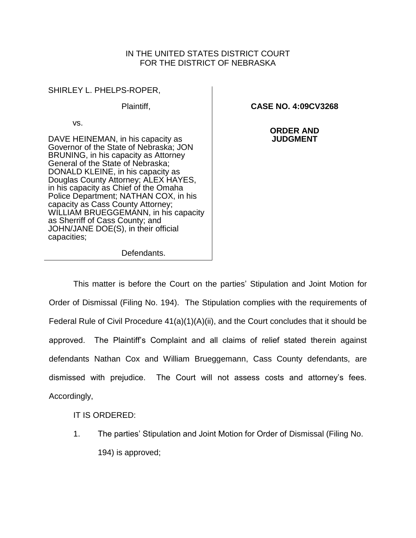## IN THE UNITED STATES DISTRICT COURT FOR THE DISTRICT OF NEBRASKA

SHIRLEY L. PHELPS-ROPER,

Plaintiff,

vs.

DAVE HEINEMAN, in his capacity as Governor of the State of Nebraska; JON BRUNING, in his capacity as Attorney General of the State of Nebraska; DONALD KLEINE, in his capacity as Douglas County Attorney; ALEX HAYES, in his capacity as Chief of the Omaha Police Department; NATHAN COX, in his capacity as Cass County Attorney; WILLIAM BRUEGGEMANN, in his capacity as Sherriff of Cass County; and JOHN/JANE DOE(S), in their official capacities;

**CASE NO. 4:09CV3268**

**ORDER AND JUDGMENT**

Defendants.

This matter is before the Court on the parties' Stipulation and Joint Motion for Order of Dismissal (Filing No. 194). The Stipulation complies with the requirements of Federal Rule of Civil Procedure 41(a)(1)(A)(ii), and the Court concludes that it should be approved. The Plaintiff's Complaint and all claims of relief stated therein against defendants Nathan Cox and William Brueggemann, Cass County defendants, are dismissed with prejudice. The Court will not assess costs and attorney's fees. Accordingly,

IT IS ORDERED:

1. The parties' Stipulation and Joint Motion for Order of Dismissal (Filing No. 194) is approved;